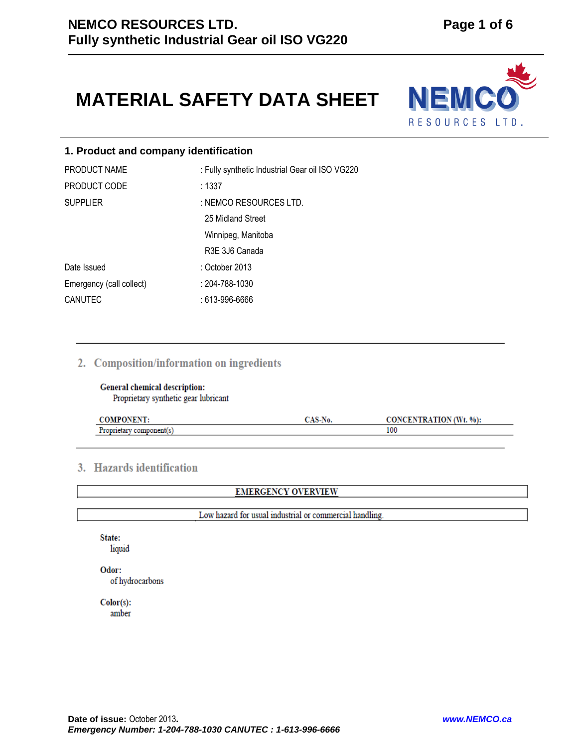# **MATERIAL SAFETY DATA SHEET**



# **1. Product and company identification**

| PRODUCT NAME             | : Fully synthetic Industrial Gear oil ISO VG220 |
|--------------------------|-------------------------------------------------|
| PRODUCT CODE             | : 1337                                          |
| <b>SUPPLIER</b>          | : NEMCO RESOURCES LTD.                          |
|                          | 25 Midland Street                               |
|                          | Winnipeg, Manitoba                              |
|                          | R3E 3J6 Canada                                  |
| Date Issued              | : October 2013                                  |
| Emergency (call collect) | : 204-788-1030                                  |
| CANUTEC                  | : 613-996-6666                                  |

# 2. Composition/information on ingredients

# General chemical description: Proprietary synthetic gear lubricant

|    | vv. | <b>NTRATION (Wt</b> )<br>$'t. 96$ : |
|----|-----|-------------------------------------|
| -- |     | 100                                 |

# 3. Hazards identification

**EMERGENCY OVERVIEW** 

Low hazard for usual industrial or commercial handling.

State: liquid

Odor: of hydrocarbons

 $Color(s):$ amber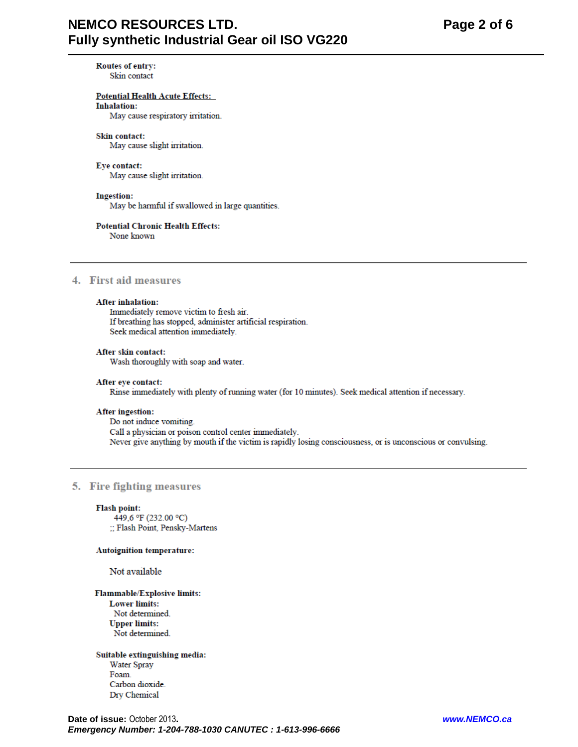# **NEMCO RESOURCES LTD.** Fully synthetic Industrial Gear oil ISO VG220

Page 2 of 6

Routes of entry: Skin contact

#### **Potential Health Acute Effects:**

**Inhalation:** 

May cause respiratory irritation.

#### Skin contact: May cause slight irritation.

# Eye contact:

May cause slight irritation.

#### **Ingestion:**

May be harmful if swallowed in large quantities.

# **Potential Chronic Health Effects:**

None known

# 4. First aid measures

#### **After inhalation:**

Immediately remove victim to fresh air. If breathing has stopped, administer artificial respiration. Seek medical attention immediately.

# After skin contact:

Wash thoroughly with soap and water.

#### After eye contact:

Rinse immediately with plenty of running water (for 10 minutes). Seek medical attention if necessary.

#### **After ingestion:**

Do not induce vomiting. Call a physician or poison control center immediately. Never give anything by mouth if the victim is rapidly losing consciousness, or is unconscious or convulsing.

### 5. Fire fighting measures

#### **Flash point:**

449.6 °F (232.00 °C) :: Flash Point, Pensky-Martens

#### **Autoignition temperature:**

Not available

#### **Flammable/Explosive limits: Lower limits:**

Not determined. **Upper limits:** Not determined.

Suitable extinguishing media: Water Spray Foam. Carbon dioxide. Dry Chemical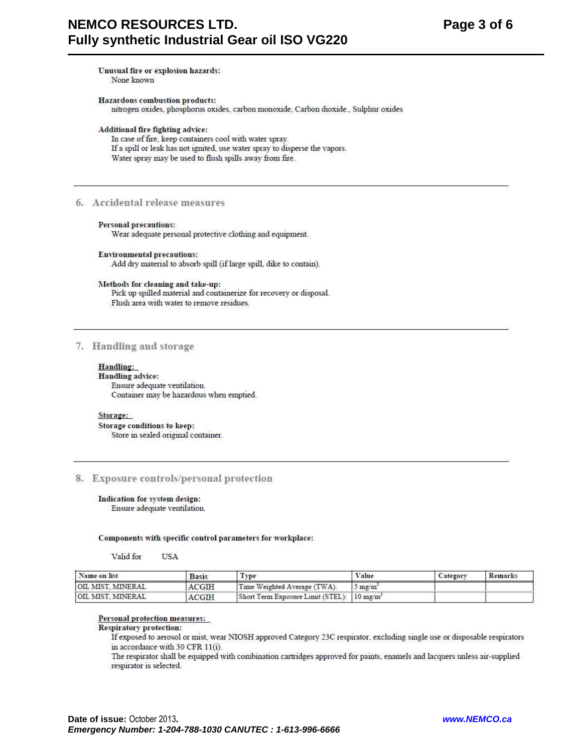Unusual fire or explosion hazards:

None known

**Hazardous combustion products:** nitrogen oxides, phosphorus oxides, carbon monoxide, Carbon dioxide., Sulphur oxides

Additional fire fighting advice:

In case of fire, keep containers cool with water spray. If a spill or leak has not ignited, use water spray to disperse the vapors. Water spray may be used to flush spills away from fire.

# 6. Accidental release measures

#### **Personal precautions:**

Wear adequate personal protective clothing and equipment.

**Environmental precautions:** Add dry material to absorb spill (if large spill, dike to contain).

#### Methods for cleaning and take-up:

Pick up spilled material and containerize for recovery or disposal. Flush area with water to remove residues.

# 7. Handling and storage

#### Handling:

**Handling advice:** Ensure adequate ventilation. Container may be hazardous when emptied.

#### Storage:

**Storage conditions to keep:** Store in sealed original container.

# 8. Exposure controls/personal protection

#### Indication for system design: Ensure adequate ventilation.

Components with specific control parameters for workplace:

Valid for **TISA** 

| Name on list             | <b>Basis</b> | Type                                                   | Value            | Category | Remarks |
|--------------------------|--------------|--------------------------------------------------------|------------------|----------|---------|
| <b>OIL MIST, MINERAL</b> | <b>ACGIH</b> | Time Weighted Average (TWA).                           | $5 \text{ mg/m}$ |          |         |
| OIL MIST. MINERAL        | <b>ACGIH</b> | Short Term Exposure Limit (STEL): 10 mg/m <sup>3</sup> |                  |          |         |

#### Personal protection measures:

#### **Respiratory protection:**

If exposed to aerosol or mist, wear NIOSH approved Category 23C respirator, excluding single use or disposable respirators in accordance with 30 CFR 11(i).

The respirator shall be equipped with combination cartridges approved for paints, enamels and lacquers unless air-supplied respirator is selected.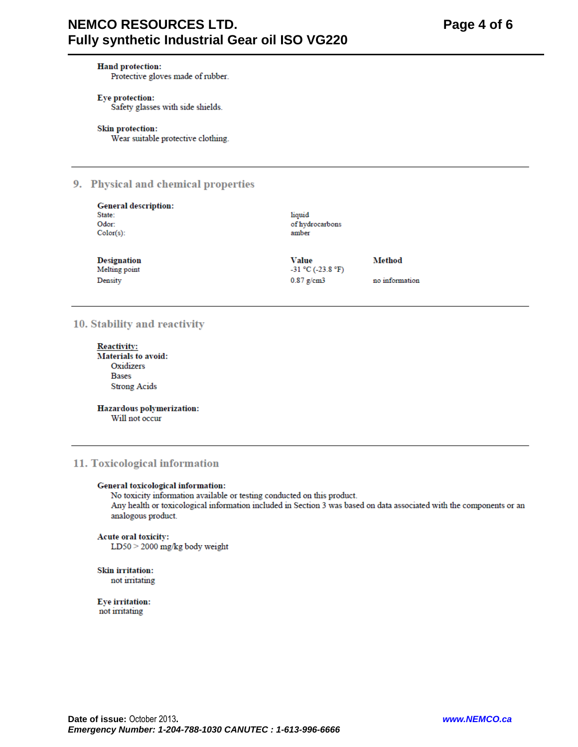# **NEMCO RESOURCES LTD.** Fully synthetic Industrial Gear oil ISO VG220

#### **Hand protection:**

Protective gloves made of rubber.

# Eye protection:

Safety glasses with side shields.

#### **Skin protection:**

Wear suitable protective clothing.

# 9. Physical and chemical properties

| <b>General description:</b><br>State:<br>Odor: | liquid<br>of hydrocarbons              |                |
|------------------------------------------------|----------------------------------------|----------------|
| $Color(s)$ :                                   | amber                                  |                |
| <b>Designation</b><br>Melting point            | <b>Value</b><br>$-31$ °C ( $-23.8$ °F) | Method         |
| Density                                        | $0.87$ g/cm3                           | no information |

# 10. Stability and reactivity

**Reactivity: Materials to avoid:** Oxidizers **Bases Strong Acids** 

Hazardous polymerization: Will not occur

# 11. Toxicological information

#### General toxicological information:

No toxicity information available or testing conducted on this product. Any health or toxicological information included in Section 3 was based on data associated with the components or an analogous product.

#### Acute oral toxicity:

LD50 > 2000 mg/kg body weight

#### **Skin irritation:** not irritating

**Eye** irritation: not irritating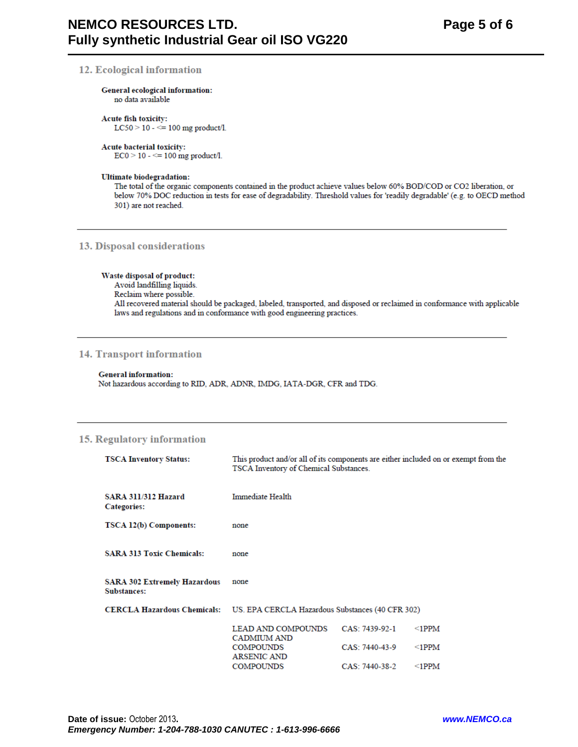#### 12. Ecological information

#### General ecological information:

no data available

# Acute fish toxicity:

LC50 > 10 -  $\le$  100 mg product/l.

#### **Acute bacterial toxicity:**

 $EC0 > 10 - \le 100$  mg product/l.

#### **Ultimate biodegradation:**

The total of the organic components contained in the product achieve values below 60% BOD/COD or CO2 liberation, or below 70% DOC reduction in tests for ease of degradability. Threshold values for 'readily degradable' (e.g. to OECD method 301) are not reached.

#### 13. Disposal considerations

#### Waste disposal of product:

Avoid landfilling liquids. Reclaim where possible. All recovered material should be packaged, labeled, transported, and disposed or reclaimed in conformance with applicable laws and regulations and in conformance with good engineering practices.

### **14. Transport information**

#### **General information:**

Not hazardous according to RID, ADR, ADNR, IMDG, IATA-DGR, CFR and TDG.

# 15. Regulatory information

| <b>TSCA Inventory Status:</b>                      | This product and/or all of its components are either included on or exempt from the<br>TSCA Inventory of Chemical Substances. |                |             |
|----------------------------------------------------|-------------------------------------------------------------------------------------------------------------------------------|----------------|-------------|
| <b>SARA 311/312 Hazard</b><br><b>Categories:</b>   | <b>Immediate Health</b>                                                                                                       |                |             |
| TSCA 12(b) Components:                             | none                                                                                                                          |                |             |
| <b>SARA 313 Toxic Chemicals:</b>                   | none                                                                                                                          |                |             |
| <b>SARA 302 Extremely Hazardous</b><br>Substances: | none                                                                                                                          |                |             |
| <b>CERCLA Hazardous Chemicals:</b>                 | US. EPA CERCLA Hazardous Substances (40 CFR 302)                                                                              |                |             |
|                                                    | <b>LEAD AND COMPOUNDS</b><br><b>CADMIUM AND</b>                                                                               | CAS: 7439-92-1 | $\leq$ 1PPM |
|                                                    | <b>COMPOUNDS</b><br><b>ARSENIC AND</b>                                                                                        | CAS: 7440-43-9 | $\leq$ 1PPM |
|                                                    | <b>COMPOUNDS</b>                                                                                                              | CAS: 7440-38-2 | $\leq$ 1PPM |